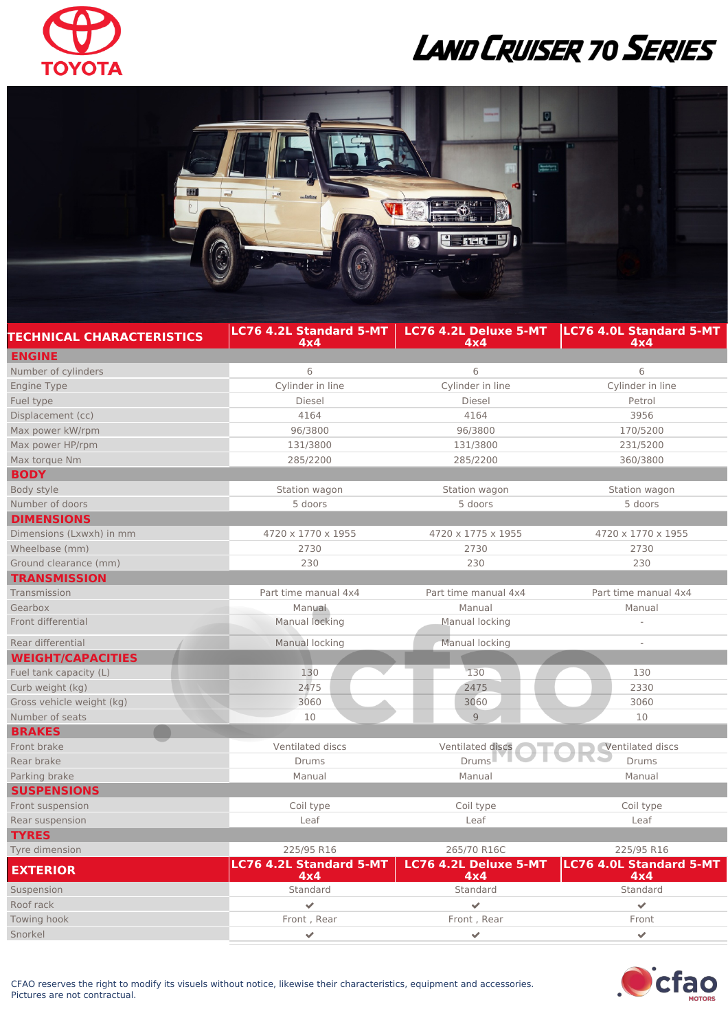

## LAND CRUISER 70 SERIES



| <b>TECHNICAL CHARACTERISTICS</b> | <b>LC76 4.2L Standard 5-MT</b><br>4x4 | LC76 4.2L Deluxe 5-MT<br>4x4 | <b>LC76 4.0L Standard 5-MT</b><br>4x4 |
|----------------------------------|---------------------------------------|------------------------------|---------------------------------------|
| <b>ENGINE</b>                    |                                       |                              |                                       |
| Number of cylinders              | 6                                     | 6                            | 6                                     |
| <b>Engine Type</b>               | Cylinder in line                      | Cylinder in line             | Cylinder in line                      |
| Fuel type                        | Diesel                                | Diesel                       | Petrol                                |
| Displacement (cc)                | 4164                                  | 4164                         | 3956                                  |
| Max power kW/rpm                 | 96/3800                               | 96/3800                      | 170/5200                              |
| Max power HP/rpm                 | 131/3800                              | 131/3800                     | 231/5200                              |
| Max torque Nm                    | 285/2200                              | 285/2200                     | 360/3800                              |
| <b>BODY</b>                      |                                       |                              |                                       |
| Body style                       | Station wagon                         | Station wagon                | Station wagon                         |
| Number of doors                  | 5 doors                               | 5 doors                      | 5 doors                               |
| <b>DIMENSIONS</b>                |                                       |                              |                                       |
| Dimensions (Lxwxh) in mm         | 4720 x 1770 x 1955                    | 4720 x 1775 x 1955           | 4720 x 1770 x 1955                    |
| Wheelbase (mm)                   | 2730                                  | 2730                         | 2730                                  |
| Ground clearance (mm)            | 230                                   | 230                          | 230                                   |
| <b>TRANSMISSION</b>              |                                       |                              |                                       |
| Transmission                     | Part time manual 4x4                  | Part time manual 4x4         | Part time manual 4x4                  |
| Gearbox                          | Manual                                | Manual                       | Manual                                |
| Front differential               | Manual locking                        | Manual locking               |                                       |
| Rear differential                | Manual locking                        | Manual locking               | $\overline{a}$                        |
| <b>WEIGHT/CAPACITIES</b>         |                                       |                              |                                       |
| Fuel tank capacity (L)           | 130                                   | 130                          | 130                                   |
| Curb weight (kg)                 | 2475                                  | 2475                         | 2330                                  |
| Gross vehicle weight (kg)        | 3060                                  | 3060                         | 3060                                  |
| Number of seats                  | 10                                    | 9                            | 10                                    |
| <b>BRAKES</b>                    |                                       |                              |                                       |
| Front brake                      | Ventilated discs                      | Ventilated discs             | <b>Ventilated discs</b>               |
| Rear brake                       | <b>Drums</b>                          | Drums                        | <b>Drums</b>                          |
| Parking brake                    | Manual                                | Manual                       | Manual                                |
| <b>SUSPENSIONS</b>               |                                       |                              |                                       |
| Front suspension                 | Coil type                             | Coil type                    | Coil type                             |
| Rear suspension                  | Leaf                                  | Leaf                         | Leaf                                  |
| <b>TYRES</b>                     |                                       |                              |                                       |
| Tyre dimension                   | 225/95 R16                            | 265/70 R16C                  | 225/95 R16                            |
| <b>EXTERIOR</b>                  | <b>LC76 4.2L Standard 5-MT</b><br>4x4 | LC76 4.2L Deluxe 5-MT<br>4x4 | <b>LC76 4.0L Standard 5-MT</b><br>4x4 |
| Suspension                       | Standard                              | Standard                     | Standard                              |
| Roof rack                        |                                       |                              | ✔                                     |
| Towing hook                      | Front, Rear                           | Front, Rear                  | Front                                 |



Snorkel and the set of the set of the set of the set of the set of the set of the set of the set of the set of the set of the set of the set of the set of the set of the set of the set of the set of the set of the set of